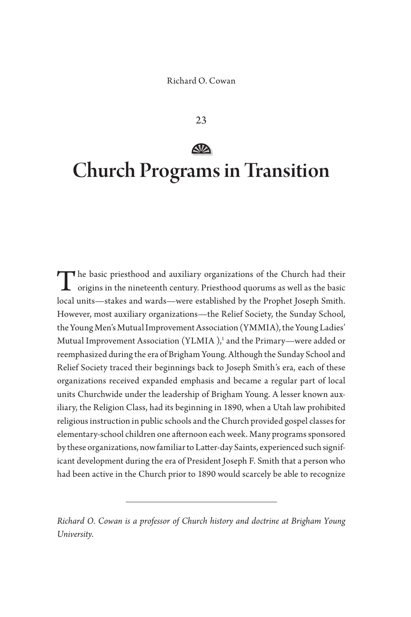23

# **SD** Church Programs in Transition

The basic priesthood and auxiliary organizations of the Church had their origins in the nineteenth century. Priesthood quorums as well as the basic local units—stakes and wards—were established by the Prophet Joseph Smith. However, most auxiliary organizations—the Relief Society, the Sunday School, the Young Men's Mutual Improvement Association (YMMIA), the Young Ladies' Mutual Improvement Association (YLMIA ),<sup>1</sup> and the Primary—were added or reemphasized during the era of Brigham Young. Although the Sunday School and Relief Society traced their beginnings back to Joseph Smith's era, each of these organizations received expanded emphasis and became a regular part of local units Churchwide under the leadership of Brigham Young. A lesser known auxiliary, the Religion Class, had its beginning in 1890, when a Utah law prohibited religious instruction in public schools and the Church provided gospel classes for elementary-school children one afternoon each week. Many programs sponsored by these organizations, now familiar to Latter-day Saints, experienced such significant development during the era of President Joseph F. Smith that a person who had been active in the Church prior to 1890 would scarcely be able to recognize

*Richard O. Cowan is a professor of Church history and doctrine at Brigham Young University.*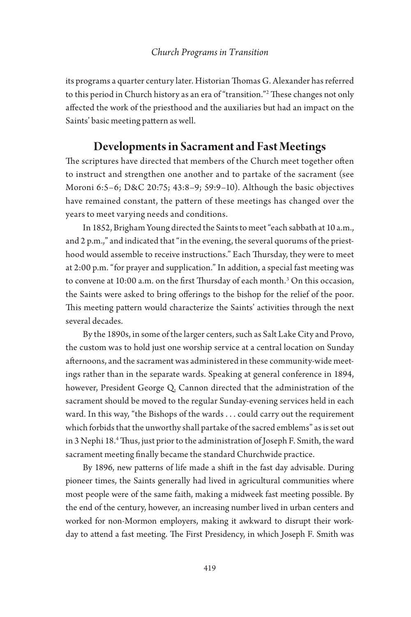its programs a quarter century later. Historian Thomas G. Alexander has referred to this period in Church history as an era of "transition."2 These changes not only affected the work of the priesthood and the auxiliaries but had an impact on the Saints' basic meeting pattern as well.

# **Developments in Sacrament and Fast Meetings**

The scriptures have directed that members of the Church meet together often to instruct and strengthen one another and to partake of the sacrament (see Moroni 6:5–6; D&C 20:75; 43:8–9; 59:9–10). Although the basic objectives have remained constant, the pattern of these meetings has changed over the years to meet varying needs and conditions.

In 1852, Brigham Young directed the Saints to meet "each sabbath at 10 a.m., and 2 p.m.," and indicated that "in the evening, the several quorums of the priesthood would assemble to receive instructions." Each Thursday, they were to meet at 2:00 p.m. "for prayer and supplication." In addition, a special fast meeting was to convene at 10:00 a.m. on the first Thursday of each month.<sup>3</sup> On this occasion, the Saints were asked to bring offerings to the bishop for the relief of the poor. This meeting pattern would characterize the Saints' activities through the next several decades.

By the 1890s, in some of the larger centers, such as Salt Lake City and Provo, the custom was to hold just one worship service at a central location on Sunday afternoons, and the sacrament was administered in these community-wide meetings rather than in the separate wards. Speaking at general conference in 1894, however, President George Q. Cannon directed that the administration of the sacrament should be moved to the regular Sunday-evening services held in each ward. In this way, "the Bishops of the wards . . . could carry out the requirement which forbids that the unworthy shall partake of the sacred emblems" as is set out in 3 Nephi 18.4 Thus, just prior to the administration of Joseph F. Smith, the ward sacrament meeting finally became the standard Churchwide practice.

By 1896, new patterns of life made a shift in the fast day advisable. During pioneer times, the Saints generally had lived in agricultural communities where most people were of the same faith, making a midweek fast meeting possible. By the end of the century, however, an increasing number lived in urban centers and worked for non-Mormon employers, making it awkward to disrupt their workday to attend a fast meeting. The First Presidency, in which Joseph F. Smith was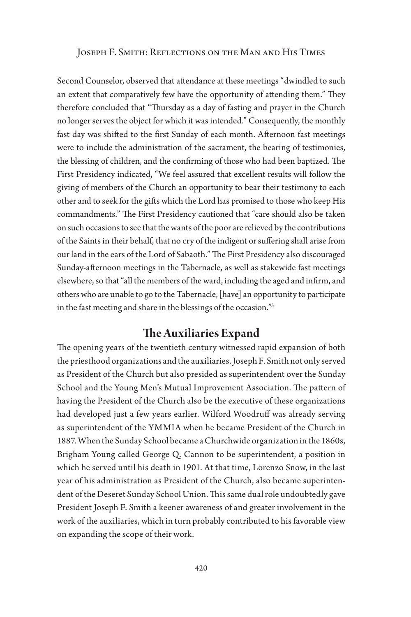Second Counselor, observed that attendance at these meetings "dwindled to such an extent that comparatively few have the opportunity of attending them." They therefore concluded that "Thursday as a day of fasting and prayer in the Church no longer serves the object for which it was intended." Consequently, the monthly fast day was shifted to the first Sunday of each month. Afternoon fast meetings were to include the administration of the sacrament, the bearing of testimonies, the blessing of children, and the confirming of those who had been baptized. The First Presidency indicated, "We feel assured that excellent results will follow the giving of members of the Church an opportunity to bear their testimony to each other and to seek for the gifts which the Lord has promised to those who keep His commandments." The First Presidency cautioned that "care should also be taken on such occasions to see that the wants of the poor are relieved by the contributions of the Saints in their behalf, that no cry of the indigent or suffering shall arise from our land in the ears of the Lord of Sabaoth." The First Presidency also discouraged Sunday-afternoon meetings in the Tabernacle, as well as stakewide fast meetings elsewhere, so that "all the members of the ward, including the aged and infirm, and others who are unable to go to the Tabernacle, [have] an opportunity to participate in the fast meeting and share in the blessings of the occasion."5

# **The Auxiliaries Expand**

The opening years of the twentieth century witnessed rapid expansion of both the priesthood organizations and the auxiliaries. Joseph F. Smith not only served as President of the Church but also presided as superintendent over the Sunday School and the Young Men's Mutual Improvement Association. The pattern of having the President of the Church also be the executive of these organizations had developed just a few years earlier. Wilford Woodruff was already serving as superintendent of the YMMIA when he became President of the Church in 1887. When the Sunday School became a Churchwide organization in the 1860s, Brigham Young called George Q. Cannon to be superintendent, a position in which he served until his death in 1901. At that time, Lorenzo Snow, in the last year of his administration as President of the Church, also became superintendent of the Deseret Sunday School Union. This same dual role undoubtedly gave President Joseph F. Smith a keener awareness of and greater involvement in the work of the auxiliaries, which in turn probably contributed to his favorable view on expanding the scope of their work.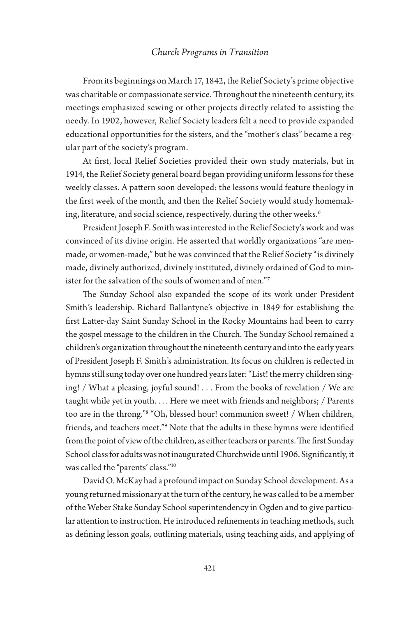From its beginnings on March 17, 1842, the Relief Society's prime objective was charitable or compassionate service. Throughout the nineteenth century, its meetings emphasized sewing or other projects directly related to assisting the needy. In 1902, however, Relief Society leaders felt a need to provide expanded educational opportunities for the sisters, and the "mother's class" became a regular part of the society's program.

At first, local Relief Societies provided their own study materials, but in 1914, the Relief Society general board began providing uniform lessons for these weekly classes. A pattern soon developed: the lessons would feature theology in the first week of the month, and then the Relief Society would study homemaking, literature, and social science, respectively, during the other weeks.<sup>6</sup>

President Joseph F. Smith was interested in the Relief Society's work and was convinced of its divine origin. He asserted that worldly organizations "are menmade, or women-made," but he was convinced that the Relief Society "is divinely made, divinely authorized, divinely instituted, divinely ordained of God to minister for the salvation of the souls of women and of men."7

The Sunday School also expanded the scope of its work under President Smith's leadership. Richard Ballantyne's objective in 1849 for establishing the first Latter-day Saint Sunday School in the Rocky Mountains had been to carry the gospel message to the children in the Church. The Sunday School remained a children's organization throughout the nineteenth century and into the early years of President Joseph F. Smith's administration. Its focus on children is reflected in hymns still sung today over one hundred years later: "List! the merry children singing! / What a pleasing, joyful sound! . . . From the books of revelation / We are taught while yet in youth. . . . Here we meet with friends and neighbors; / Parents too are in the throng."8 "Oh, blessed hour! communion sweet! / When children, friends, and teachers meet."9 Note that the adults in these hymns were identified from the point of view of the children, as either teachers or parents. The first Sunday School class for adults was not inaugurated Churchwide until 1906. Significantly, it was called the "parents' class."10

David O. McKay had a profound impact on Sunday School development. As a young returned missionary at the turn of the century, he was called to be a member of the Weber Stake Sunday School superintendency in Ogden and to give particular attention to instruction. He introduced refinements in teaching methods, such as defining lesson goals, outlining materials, using teaching aids, and applying of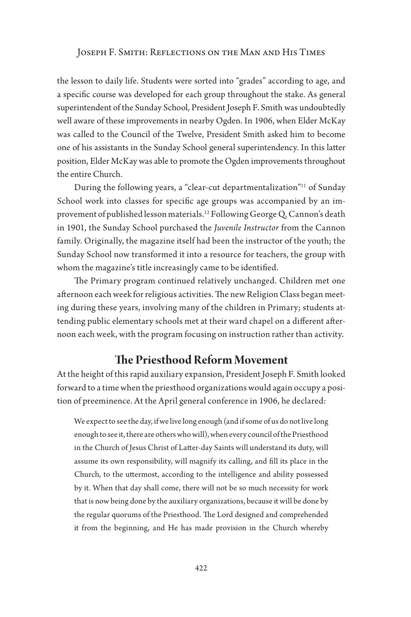the lesson to daily life. Students were sorted into "grades" according to age, and a specific course was developed for each group throughout the stake. As general superintendent of the Sunday School, President Joseph F. Smith was undoubtedly well aware of these improvements in nearby Ogden. In 1906, when Elder McKay was called to the Council of the Twelve, President Smith asked him to become one of his assistants in the Sunday School general superintendency. In this latter position, Elder McKay was able to promote the Ogden improvements throughout the entire Church.

During the following years, a "clear-cut departmentalization"<sup>11</sup> of Sunday School work into classes for specific age groups was accompanied by an improvement of published lesson materials.12 Following George Q. Cannon's death in 1901, the Sunday School purchased the *Juvenile Instructor* from the Cannon family. Originally, the magazine itself had been the instructor of the youth; the Sunday School now transformed it into a resource for teachers, the group with whom the magazine's title increasingly came to be identified.

The Primary program continued relatively unchanged. Children met one afternoon each week for religious activities. The new Religion Class began meeting during these years, involving many of the children in Primary; students attending public elementary schools met at their ward chapel on a different afternoon each week, with the program focusing on instruction rather than activity.

### **The Priesthood Reform Movement**

At the height of this rapid auxiliary expansion, President Joseph F. Smith looked forward to a time when the priesthood organizations would again occupy a position of preeminence. At the April general conference in 1906, he declared:

We expect to see the day, if we live long enough (and if some of us do not live long enough to see it, there are others who will), when every council of the Priesthood in the Church of Jesus Christ of Latter-day Saints will understand its duty, will assume its own responsibility, will magnify its calling, and fill its place in the Church, to the uttermost, according to the intelligence and ability possessed by it. When that day shall come, there will not be so much necessity for work that is now being done by the auxiliary organizations, because it will be done by the regular quorums of the Priesthood. The Lord designed and comprehended it from the beginning, and He has made provision in the Church whereby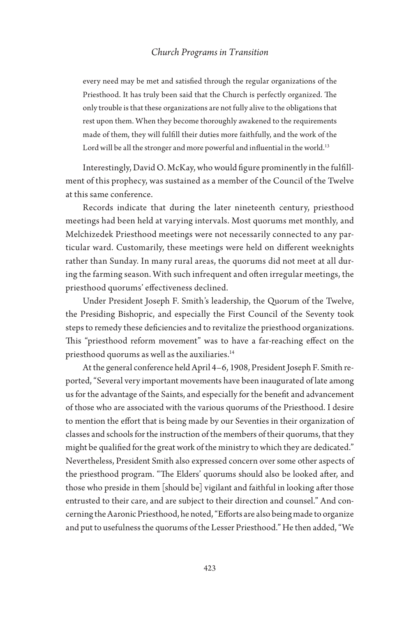every need may be met and satisfied through the regular organizations of the Priesthood. It has truly been said that the Church is perfectly organized. The only trouble is that these organizations are not fully alive to the obligations that rest upon them. When they become thoroughly awakened to the requirements made of them, they will fulfill their duties more faithfully, and the work of the Lord will be all the stronger and more powerful and influential in the world.<sup>13</sup>

Interestingly, David O. McKay, who would figure prominently in the fulfillment of this prophecy, was sustained as a member of the Council of the Twelve at this same conference.

Records indicate that during the later nineteenth century, priesthood meetings had been held at varying intervals. Most quorums met monthly, and Melchizedek Priesthood meetings were not necessarily connected to any particular ward. Customarily, these meetings were held on different weeknights rather than Sunday. In many rural areas, the quorums did not meet at all during the farming season. With such infrequent and often irregular meetings, the priesthood quorums' effectiveness declined.

Under President Joseph F. Smith's leadership, the Quorum of the Twelve, the Presiding Bishopric, and especially the First Council of the Seventy took steps to remedy these deficiencies and to revitalize the priesthood organizations. This "priesthood reform movement" was to have a far-reaching effect on the priesthood quorums as well as the auxiliaries.<sup>14</sup>

At the general conference held April 4–6, 1908, President Joseph F. Smith reported, "Several very important movements have been inaugurated of late among us for the advantage of the Saints, and especially for the benefit and advancement of those who are associated with the various quorums of the Priesthood. I desire to mention the effort that is being made by our Seventies in their organization of classes and schools for the instruction of the members of their quorums, that they might be qualified for the great work of the ministry to which they are dedicated." Nevertheless, President Smith also expressed concern over some other aspects of the priesthood program. "The Elders' quorums should also be looked after, and those who preside in them [should be] vigilant and faithful in looking after those entrusted to their care, and are subject to their direction and counsel." And concerning the Aaronic Priesthood, he noted, "Efforts are also being made to organize and put to usefulness the quorums of the Lesser Priesthood." He then added, "We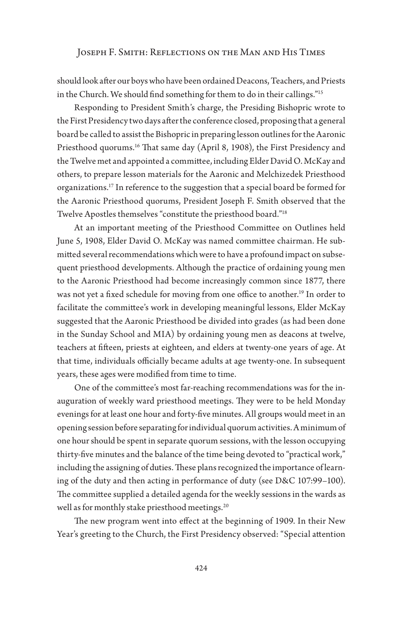should look after our boys who have been ordained Deacons, Teachers, and Priests in the Church. We should find something for them to do in their callings."<sup>15</sup>

Responding to President Smith's charge, the Presiding Bishopric wrote to the First Presidency two days after the conference closed, proposing that a general board be called to assist the Bishopric in preparing lesson outlines for the Aaronic Priesthood quorums.<sup>16</sup> That same day (April 8, 1908), the First Presidency and the Twelve met and appointed a committee, including Elder David O. McKay and others, to prepare lesson materials for the Aaronic and Melchizedek Priesthood organizations.17 In reference to the suggestion that a special board be formed for the Aaronic Priesthood quorums, President Joseph F. Smith observed that the Twelve Apostles themselves "constitute the priesthood board."18

At an important meeting of the Priesthood Committee on Outlines held June 5, 1908, Elder David O. McKay was named committee chairman. He submitted several recommendations which were to have a profound impact on subsequent priesthood developments. Although the practice of ordaining young men to the Aaronic Priesthood had become increasingly common since 1877, there was not yet a fixed schedule for moving from one office to another.<sup>19</sup> In order to facilitate the committee's work in developing meaningful lessons, Elder McKay suggested that the Aaronic Priesthood be divided into grades (as had been done in the Sunday School and MIA) by ordaining young men as deacons at twelve, teachers at fifteen, priests at eighteen, and elders at twenty-one years of age. At that time, individuals officially became adults at age twenty-one. In subsequent years, these ages were modified from time to time.

One of the committee's most far-reaching recommendations was for the inauguration of weekly ward priesthood meetings. They were to be held Monday evenings for at least one hour and forty-five minutes. All groups would meet in an opening session before separating for individual quorum activities. A minimum of one hour should be spent in separate quorum sessions, with the lesson occupying thirty-five minutes and the balance of the time being devoted to "practical work," including the assigning of duties. These plans recognized the importance of learning of the duty and then acting in performance of duty (see D&C 107:99–100). The committee supplied a detailed agenda for the weekly sessions in the wards as well as for monthly stake priesthood meetings.<sup>20</sup>

The new program went into effect at the beginning of 1909. In their New Year's greeting to the Church, the First Presidency observed: "Special attention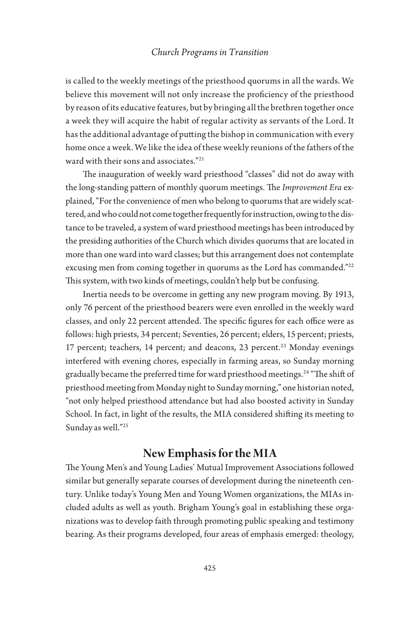is called to the weekly meetings of the priesthood quorums in all the wards. We believe this movement will not only increase the proficiency of the priesthood by reason of its educative features, but by bringing all the brethren together once a week they will acquire the habit of regular activity as servants of the Lord. It has the additional advantage of putting the bishop in communication with every home once a week. We like the idea of these weekly reunions of the fathers of the ward with their sons and associates."21

The inauguration of weekly ward priesthood "classes" did not do away with the long-standing pattern of monthly quorum meetings. The *Improvement Era* explained, "For the convenience of men who belong to quorums that are widely scattered, and who could not come together frequently for instruction, owing to the distance to be traveled, a system of ward priesthood meetings has been introduced by the presiding authorities of the Church which divides quorums that are located in more than one ward into ward classes; but this arrangement does not contemplate excusing men from coming together in quorums as the Lord has commanded."<sup>22</sup> This system, with two kinds of meetings, couldn't help but be confusing.

Inertia needs to be overcome in getting any new program moving. By 1913, only 76 percent of the priesthood bearers were even enrolled in the weekly ward classes, and only 22 percent attended. The specific figures for each office were as follows: high priests, 34 percent; Seventies, 26 percent; elders, 15 percent; priests, 17 percent; teachers, 14 percent; and deacons, 23 percent.<sup>23</sup> Monday evenings interfered with evening chores, especially in farming areas, so Sunday morning gradually became the preferred time for ward priesthood meetings.<sup>24</sup> "The shift of priesthood meeting from Monday night to Sunday morning," one historian noted, "not only helped priesthood attendance but had also boosted activity in Sunday School. In fact, in light of the results, the MIA considered shifting its meeting to Sunday as well."25

# **New Emphasis for the MIA**

The Young Men's and Young Ladies' Mutual Improvement Associations followed similar but generally separate courses of development during the nineteenth century. Unlike today's Young Men and Young Women organizations, the MIAs included adults as well as youth. Brigham Young's goal in establishing these organizations was to develop faith through promoting public speaking and testimony bearing. As their programs developed, four areas of emphasis emerged: theology,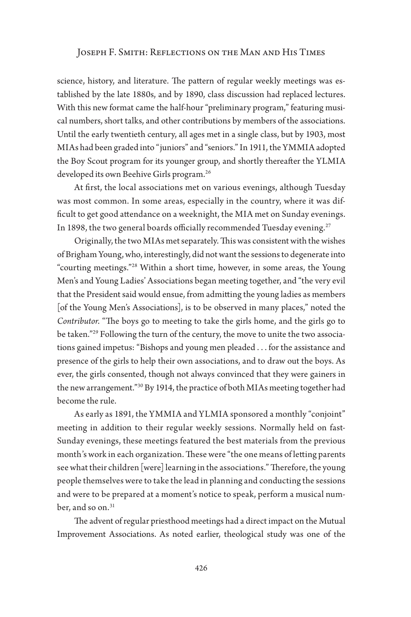science, history, and literature. The pattern of regular weekly meetings was established by the late 1880s, and by 1890, class discussion had replaced lectures. With this new format came the half-hour "preliminary program," featuring musical numbers, short talks, and other contributions by members of the associations. Until the early twentieth century, all ages met in a single class, but by 1903, most MIAs had been graded into "juniors" and "seniors." In 1911, the YMMIA adopted the Boy Scout program for its younger group, and shortly thereafter the YLMIA developed its own Beehive Girls program.<sup>26</sup>

At first, the local associations met on various evenings, although Tuesday was most common. In some areas, especially in the country, where it was difficult to get good attendance on a weeknight, the MIA met on Sunday evenings. In 1898, the two general boards officially recommended Tuesday evening.<sup>27</sup>

Originally, the two MIAs met separately. This was consistent with the wishes of Brigham Young, who, interestingly, did not want the sessions to degenerate into "courting meetings."28 Within a short time, however, in some areas, the Young Men's and Young Ladies' Associations began meeting together, and "the very evil that the President said would ensue, from admitting the young ladies as members [of the Young Men's Associations], is to be observed in many places," noted the *Contributor*. "The boys go to meeting to take the girls home, and the girls go to be taken."<sup>29</sup> Following the turn of the century, the move to unite the two associations gained impetus: "Bishops and young men pleaded . . . for the assistance and presence of the girls to help their own associations, and to draw out the boys. As ever, the girls consented, though not always convinced that they were gainers in the new arrangement."30 By 1914, the practice of both MIAs meeting together had become the rule.

As early as 1891, the YMMIA and YLMIA sponsored a monthly "conjoint" meeting in addition to their regular weekly sessions. Normally held on fast-Sunday evenings, these meetings featured the best materials from the previous month's work in each organization. These were "the one means of letting parents see what their children [were] learning in the associations." Therefore, the young people themselves were to take the lead in planning and conducting the sessions and were to be prepared at a moment's notice to speak, perform a musical number, and so on.<sup>31</sup>

The advent of regular priesthood meetings had a direct impact on the Mutual Improvement Associations. As noted earlier, theological study was one of the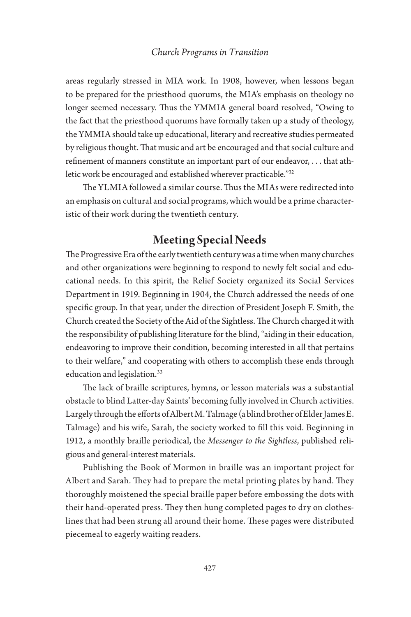areas regularly stressed in MIA work. In 1908, however, when lessons began to be prepared for the priesthood quorums, the MIA's emphasis on theology no longer seemed necessary. Thus the YMMIA general board resolved, "Owing to the fact that the priesthood quorums have formally taken up a study of theology, the YMMIA should take up educational, literary and recreative studies permeated by religious thought. That music and art be encouraged and that social culture and refinement of manners constitute an important part of our endeavor, . . . that athletic work be encouraged and established wherever practicable."32

The YLMIA followed a similar course. Thus the MIAs were redirected into an emphasis on cultural and social programs, which would be a prime characteristic of their work during the twentieth century.

# **Meeting Special Needs**

The Progressive Era of the early twentieth century was a time when many churches and other organizations were beginning to respond to newly felt social and educational needs. In this spirit, the Relief Society organized its Social Services Department in 1919. Beginning in 1904, the Church addressed the needs of one specific group. In that year, under the direction of President Joseph F. Smith, the Church created the Society of the Aid of the Sightless. The Church charged it with the responsibility of publishing literature for the blind, "aiding in their education, endeavoring to improve their condition, becoming interested in all that pertains to their welfare," and cooperating with others to accomplish these ends through education and legislation.<sup>33</sup>

The lack of braille scriptures, hymns, or lesson materials was a substantial obstacle to blind Latter-day Saints' becoming fully involved in Church activities. Largely through the efforts of Albert M. Talmage (a blind brother of Elder James E. Talmage) and his wife, Sarah, the society worked to fill this void. Beginning in 1912, a monthly braille periodical, the *Messenger to the Sightless*, published religious and general-interest materials.

Publishing the Book of Mormon in braille was an important project for Albert and Sarah. They had to prepare the metal printing plates by hand. They thoroughly moistened the special braille paper before embossing the dots with their hand-operated press. They then hung completed pages to dry on clotheslines that had been strung all around their home. These pages were distributed piecemeal to eagerly waiting readers.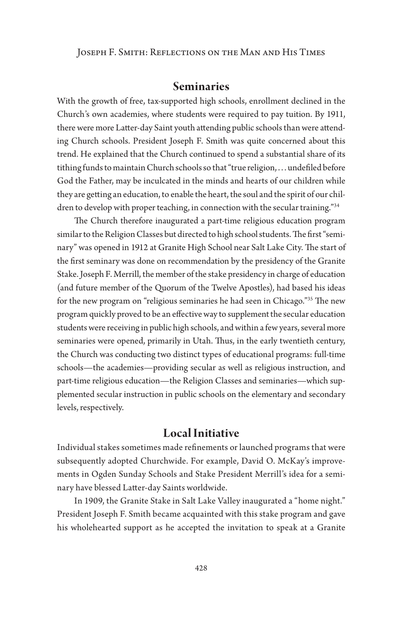### **Seminaries**

With the growth of free, tax-supported high schools, enrollment declined in the Church's own academies, where students were required to pay tuition. By 1911, there were more Latter-day Saint youth attending public schools than were attending Church schools. President Joseph F. Smith was quite concerned about this trend. He explained that the Church continued to spend a substantial share of its tithing funds to maintain Church schools so that "true religion, . . . undefiled before God the Father, may be inculcated in the minds and hearts of our children while they are getting an education, to enable the heart, the soul and the spirit of our children to develop with proper teaching, in connection with the secular training."34

The Church therefore inaugurated a part-time religious education program similar to the Religion Classes but directed to high school students. The first "seminary" was opened in 1912 at Granite High School near Salt Lake City. The start of the first seminary was done on recommendation by the presidency of the Granite Stake. Joseph F. Merrill, the member of the stake presidency in charge of education (and future member of the Quorum of the Twelve Apostles), had based his ideas for the new program on "religious seminaries he had seen in Chicago."35 The new program quickly proved to be an effective way to supplement the secular education students were receiving in public high schools, and within a few years, several more seminaries were opened, primarily in Utah. Thus, in the early twentieth century, the Church was conducting two distinct types of educational programs: full-time schools—the academies—providing secular as well as religious instruction, and part-time religious education—the Religion Classes and seminaries—which supplemented secular instruction in public schools on the elementary and secondary levels, respectively.

### **Local Initiative**

Individual stakes sometimes made refinements or launched programs that were subsequently adopted Churchwide. For example, David O. McKay's improvements in Ogden Sunday Schools and Stake President Merrill's idea for a seminary have blessed Latter-day Saints worldwide.

In 1909, the Granite Stake in Salt Lake Valley inaugurated a "home night." President Joseph F. Smith became acquainted with this stake program and gave his wholehearted support as he accepted the invitation to speak at a Granite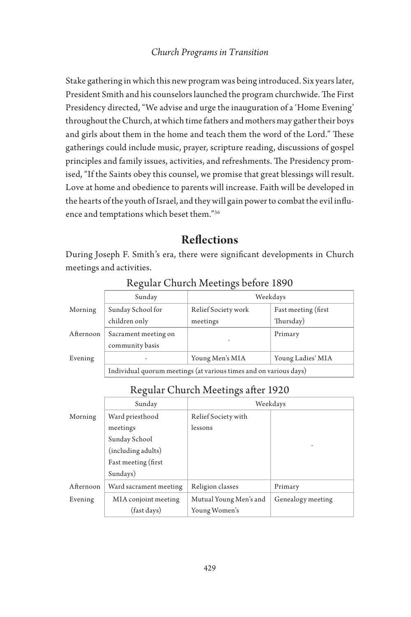Stake gathering in which this new program was being introduced. Six years later, President Smith and his counselors launched the program churchwide. The First Presidency directed, "We advise and urge the inauguration of a 'Home Evening' throughout the Church, at which time fathers and mothers may gather their boys and girls about them in the home and teach them the word of the Lord." These gatherings could include music, prayer, scripture reading, discussions of gospel principles and family issues, activities, and refreshments. The Presidency promised, "If the Saints obey this counsel, we promise that great blessings will result. Love at home and obedience to parents will increase. Faith will be developed in the hearts of the youth of Israel, and they will gain power to combat the evil influence and temptations which beset them."36

# **Reflections**

During Joseph F. Smith's era, there were significant developments in Church meetings and activities.

|           | Sunday                                                            | Weekdays            |                      |  |
|-----------|-------------------------------------------------------------------|---------------------|----------------------|--|
| Morning   | Sunday School for                                                 | Relief Society work | Fast meeting (first) |  |
|           | children only                                                     | meetings            | Thursday)            |  |
| Afternoon | Sacrament meeting on                                              |                     | Primary              |  |
|           | community basis                                                   |                     |                      |  |
| Evening   |                                                                   | Young Men's MIA     | Young Ladies' MIA    |  |
|           | Individual quorum meetings (at various times and on various days) |                     |                      |  |

Regular Church Meetings before 1890

### Regular Church Meetings after 1920

|           | Sunday                 | Weekdays               |                   |
|-----------|------------------------|------------------------|-------------------|
| Morning   | Ward priesthood        | Relief Society with    |                   |
|           | meetings               | lessons                |                   |
|           | Sunday School          |                        |                   |
|           | (including adults)     |                        |                   |
|           | Fast meeting (first)   |                        |                   |
|           | Sundays)               |                        |                   |
| Afternoon | Ward sacrament meeting | Religion classes       | Primary           |
| Evening   | MIA conjoint meeting   | Mutual Young Men's and | Genealogy meeting |
|           | (fast days)            | Young Women's          |                   |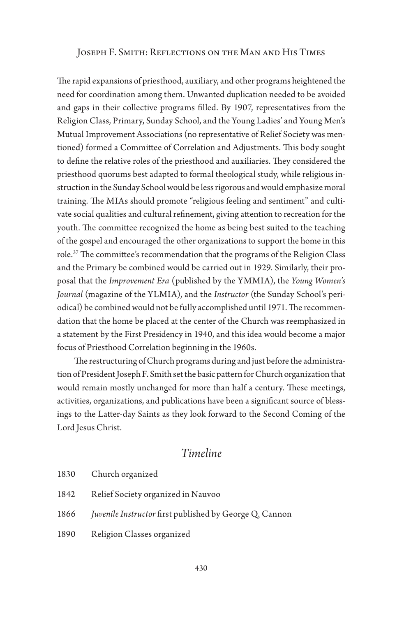The rapid expansions of priesthood, auxiliary, and other programs heightened the need for coordination among them. Unwanted duplication needed to be avoided and gaps in their collective programs filled. By 1907, representatives from the Religion Class, Primary, Sunday School, and the Young Ladies' and Young Men's Mutual Improvement Associations (no representative of Relief Society was mentioned) formed a Committee of Correlation and Adjustments. This body sought to define the relative roles of the priesthood and auxiliaries. They considered the priesthood quorums best adapted to formal theological study, while religious instruction in the Sunday School would be less rigorous and would emphasize moral training. The MIAs should promote "religious feeling and sentiment" and cultivate social qualities and cultural refinement, giving attention to recreation for the youth. The committee recognized the home as being best suited to the teaching of the gospel and encouraged the other organizations to support the home in this role.<sup>37</sup> The committee's recommendation that the programs of the Religion Class and the Primary be combined would be carried out in 1929. Similarly, their proposal that the *Improvement Era* (published by the YMMIA), the *Young Women's Journal* (magazine of the YLMIA), and the *Instructor* (the Sunday School's periodical) be combined would not be fully accomplished until 1971. The recommendation that the home be placed at the center of the Church was reemphasized in a statement by the First Presidency in 1940, and this idea would become a major focus of Priesthood Correlation beginning in the 1960s.

The restructuring of Church programs during and just before the administration of President Joseph F. Smith set the basic pattern for Church organization that would remain mostly unchanged for more than half a century. These meetings, activities, organizations, and publications have been a significant source of blessings to the Latter-day Saints as they look forward to the Second Coming of the Lord Jesus Christ.

# *Timeline*

- 1830 Church organized
- 1842 Relief Society organized in Nauvoo
- 1866 *Juvenile Instructor* first published by George Q. Cannon
- 1890 Religion Classes organized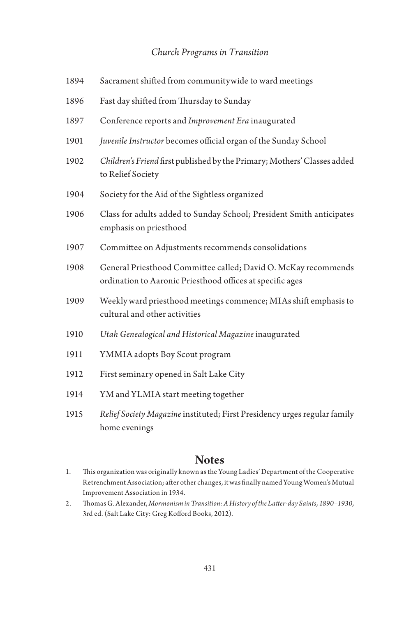| 1894 | Sacrament shifted from communitywide to ward meetings                                                                       |
|------|-----------------------------------------------------------------------------------------------------------------------------|
| 1896 | Fast day shifted from Thursday to Sunday                                                                                    |
| 1897 | Conference reports and Improvement Era inaugurated                                                                          |
| 1901 | Juvenile Instructor becomes official organ of the Sunday School                                                             |
| 1902 | Children's Friend first published by the Primary; Mothers' Classes added<br>to Relief Society                               |
| 1904 | Society for the Aid of the Sightless organized                                                                              |
| 1906 | Class for adults added to Sunday School; President Smith anticipates<br>emphasis on priesthood                              |
| 1907 | Committee on Adjustments recommends consolidations                                                                          |
| 1908 | General Priesthood Committee called; David O. McKay recommends<br>ordination to Aaronic Priesthood offices at specific ages |
| 1909 | Weekly ward priesthood meetings commence; MIAs shift emphasis to<br>cultural and other activities                           |
| 1910 | Utah Genealogical and Historical Magazine inaugurated                                                                       |
| 1911 | YMMIA adopts Boy Scout program                                                                                              |
| 1912 | First seminary opened in Salt Lake City                                                                                     |
| 1914 | YM and YLMIA start meeting together                                                                                         |
| 1915 | Relief Society Magazine instituted; First Presidency urges regular family<br>home evenings                                  |

# **Notes**

- 1. This organization was originally known as the Young Ladies' Department of the Cooperative Retrenchment Association; after other changes, it was finally named Young Women's Mutual Improvement Association in 1934.
- 2. Thomas G. Alexander, *Mormonism in Transition: A History of the Latter-day Saints, 1890–1930*, 3rd ed. (Salt Lake City: Greg Kofford Books, 2012).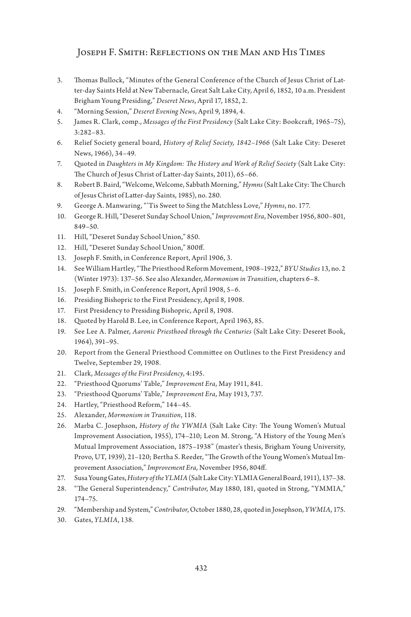- 3. Thomas Bullock, "Minutes of the General Conference of the Church of Jesus Christ of Latter-day Saints Held at New Tabernacle, Great Salt Lake City, April 6, 1852, 10 a.m. President Brigham Young Presiding," *Deseret News*, April 17, 1852, 2.
- 4. "Morning Session," *Deseret Evening News*, April 9, 1894, 4.
- 5. James R. Clark, comp., *Messages of the First Presidency* (Salt Lake City: Bookcraft, 1965–75), 3:282–83.
- 6. Relief Society general board, *History of Relief Society, 1842–1966* (Salt Lake City: Deseret News, 1966), 34–49.
- 7. Quoted in *Daughters in My Kingdom: The History and Work of Relief Society* (Salt Lake City: The Church of Jesus Christ of Latter-day Saints, 2011), 65–66.
- 8. Robert B. Baird, "Welcome, Welcome, Sabbath Morning," *Hymns* (Salt Lake City: The Church of Jesus Christ of Latter-day Saints, 1985), no. 280.
- 9. George A. Manwaring, "'Tis Sweet to Sing the Matchless Love," *Hymns*, no. 177.
- 10. George R. Hill, "Deseret Sunday School Union," *Improvement Era*, November 1956, 800–801, 849–50.
- 11. Hill, "Deseret Sunday School Union," 850.
- 12. Hill, "Deseret Sunday School Union," 800ff.
- 13. Joseph F. Smith, in Conference Report, April 1906, 3.
- 14. See William Hartley, "The Priesthood Reform Movement, 1908–1922," *BYU Studies* 13, no. 2 (Winter 1973): 137–56. See also Alexander, *Mormonism in Transition*, chapters 6–8.
- 15. Joseph F. Smith, in Conference Report, April 1908, 5–6.
- 16. Presiding Bishopric to the First Presidency, April 8, 1908.
- 17. First Presidency to Presiding Bishopric, April 8, 1908.
- 18. Quoted by Harold B. Lee, in Conference Report, April 1963, 85.
- 19. See Lee A. Palmer, *Aaronic Priesthood through the Centuries* (Salt Lake City: Deseret Book, 1964), 391–95.
- 20. Report from the General Priesthood Committee on Outlines to the First Presidency and Twelve, September 29, 1908.
- 21. Clark, *Messages of the First Presidency*, 4:195.
- 22. "Priesthood Quorums' Table," *Improvement Era*, May 1911, 841.
- 23. "Priesthood Quorums' Table," *Improvement Era*, May 1913, 737.
- 24. Hartley, "Priesthood Reform," 144–45.
- 25. Alexander, *Mormonism in Transition*, 118.
- 26. Marba C. Josephson, *History of the YWMIA* (Salt Lake City: The Young Women's Mutual Improvement Association, 1955), 174–210; Leon M. Strong, "A History of the Young Men's Mutual Improvement Association, 1875–1938" (master's thesis, Brigham Young University, Provo, UT, 1939), 21–120; Bertha S. Reeder, "The Growth of the Young Women's Mutual Improvement Association," *Improvement Era,* November 1956, 804ff.
- 27. Susa Young Gates, *History of the YLMIA* (Salt Lake City: YLMIA General Board, 1911), 137–38.
- 28. "The General Superintendency," *Contributor*, May 1880, 181, quoted in Strong, "YMMIA," 174–75.
- 29. "Membership and System," *Contributor*, October 1880, 28, quoted in Josephson, *YWMIA*, 175.
- 30. Gates, *YLMIA*, 138.